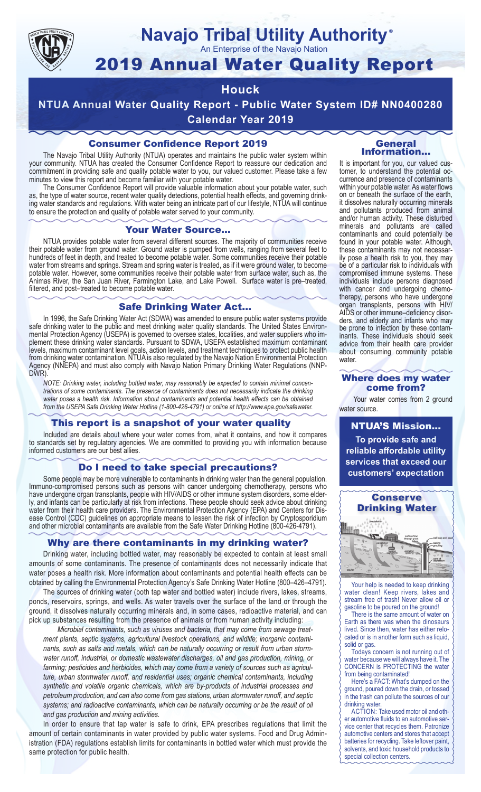

## **Navajo Tribal Utility Authority** ®

An Enterprise of the Navajo Nation

# 2019 Annual Water Quality Report

## **Houck**

**NTUA Annual Water Quality Report - Public Water System ID# NN0400280 Calendar Year 2019**

## Consumer Confidence Report 2019

The Navajo Tribal Utility Authority (NTUA) operates and maintains the public water system within your community. NTUA has created the Consumer Confidence Report to reassure our dedication and commitment in providing safe and quality potable water to you, our valued customer. Please take a few minutes to view this report and become familiar with your potable water.

The Consumer Confidence Report will provide valuable information about your potable water, such as, the type of water source, recent water quality detections, potential health effects, and governing drinking water standards and regulations. With water being an intricate part of our lifestyle, NTUA will continue to ensure the protection and quality of potable water served to your community.

#### Your Water Source…

NTUA provides potable water from several different sources. The majority of communities receive their potable water from ground water. Ground water is pumped from wells, ranging from several feet to hundreds of feet in depth, and treated to become potable water. Some communities receive their potable water from streams and springs. Stream and spring water is treated, as if it were ground water, to become potable water. However, some communities receive their potable water from surface water, such as, the Animas River, the San Juan River, Farmington Lake, and Lake Powell. Surface water is pre–treated, filtered, and post–treated to become potable water.

#### Safe Drinking Water Act…

In 1996, the Safe Drinking Water Act (SDWA) was amended to ensure public water systems provide safe drinking water to the public and meet drinking water quality standards. The United States Environmental Protection Agency (USEPA) is governed to oversee states, localities, and water suppliers who implement these drinking water standards. Pursuant to SDWA, USEPA established maximum contaminant levels, maximum contaminant level goals, action levels, and treatment techniques to protect public health from drinking water contamination. NTUA is also regulated by the Navajo Nation Environmental Protection Agency (NNEPA) and must also comply with Navajo Nation Primary Drinking Water Regulations (NNP-DWR)

*NOTE: Drinking water, including bottled water, may reasonably be expected to contain minimal concentrations of some contaminants. The presence of contaminants does not necessarily indicate the drinking water poses a health risk. Information about contaminants and potential health effects can be obtained from the USEPA Safe Drinking Water Hotline (1-800-426-4791) or online at http://www.epa.gov/safewater.*

## This report is a snapshot of your water quality

Included are details about where your water comes from, what it contains, and how it compares to standards set by regulatory agencies. We are committed to providing you with information because informed customers are our best allies.

#### Do I need to take special precautions?

Some people may be more vulnerable to contaminants in drinking water than the general population. Immuno-compromised persons such as persons with cancer undergoing chemotherapy, persons who have undergone organ transplants, people with HIV/AIDS or other immune system disorders, some elderly, and infants can be particularly at risk from infections. These people should seek advice about drinking water from their health care providers. The Environmental Protection Agency (EPA) and Centers for Disease Control (CDC) guidelines on appropriate means to lessen the risk of infection by Cryptosporidium and other microbial contaminants are available from the Safe Water Drinking Hotline (800-426-4791).

## Why are there contaminants in my drinking water?

Drinking water, including bottled water, may reasonably be expected to contain at least small amounts of some contaminants. The presence of contaminants does not necessarily indicate that water poses a health risk. More information about contaminants and potential health effects can be obtained by calling the Environmental Protection Agency's Safe Drinking Water Hotline (800–426–4791).

The sources of drinking water (both tap water and bottled water) include rivers, lakes, streams, ponds, reservoirs, springs, and wells. As water travels over the surface of the land or through the ground, it dissolves naturally occurring minerals and, in some cases, radioactive material, and can pick up substances resulting from the presence of animals or from human activity including:

*Microbial contaminants, such as viruses and bacteria, that may come from sewage treatment plants, septic systems, agricultural livestock operations, and wildlife; inorganic contaminants, such as salts and metals, which can be naturally occurring or result from urban stormwater runoff, industrial, or domestic wastewater discharges, oil and gas production, mining, or farming; pesticides and herbicides, which may come from a variety of sources such as agriculture, urban stormwater runoff, and residential uses; organic chemical contaminants, including synthetic and volatile organic chemicals, which are by-products of industrial processes and petroleum production, and can also come from gas stations, urban stormwater runoff, and septic systems; and radioactive contaminants, which can be naturally occurring or be the result of oil and gas production and mining activities.*

In order to ensure that tap water is safe to drink, EPA prescribes regulations that limit the amount of certain contaminants in water provided by public water systems. Food and Drug Administration (FDA) regulations establish limits for contaminants in bottled water which must provide the same protection for public health.

#### General Information…

It is important for you, our valued customer, to understand the potential occurrence and presence of contaminants within your potable water. As water flows on or beneath the surface of the earth, it dissolves naturally occurring minerals and pollutants produced from animal and/or human activity. These disturbed minerals and pollutants are called contaminants and could potentially be found in your potable water. Although, these contaminants may not necessarily pose a health risk to you, they may be of a particular risk to individuals with compromised immune systems. These individuals include persons diagnosed with cancer and undergoing chemo-<br>therapy, persons who have undergone organ transplants, persons with HIV/ AIDS or other immune–deficiency disor- ders, and elderly and infants who may be prone to infection by these contam- inants. These individuals should seek advice from their health care provider about consuming community potable water.

#### Where does my water come from?

Your water comes from 2 ground water source.

NTUA'S Mission... **To provide safe and reliable affordable utility services that exceed our customers' expectation**



Your help is needed to keep drinking water clean! Keep rivers, lakes and stream free of trash! Never allow oil or gasoline to be poured on the ground!

There is the same amount of water on Earth as there was when the dinosaurs lived. Since then, water has either relocated or is in another form such as liquid, solid or gas.

Todays concern is not running out of water because we will always have it. The CONCERN is PROTECTING the water from being contaminated!

Here's a FACT: What's dumped on the ground, poured down the drain, or tossed in the trash can pollute the sources of our drinking water.

ACTION: Take used motor oil and other automotive fluids to an automotive service center that recycles them. Patronize automotive centers and stores that accept batteries for recycling. Take leftover paint, solvents, and toxic household products to special collection centers.